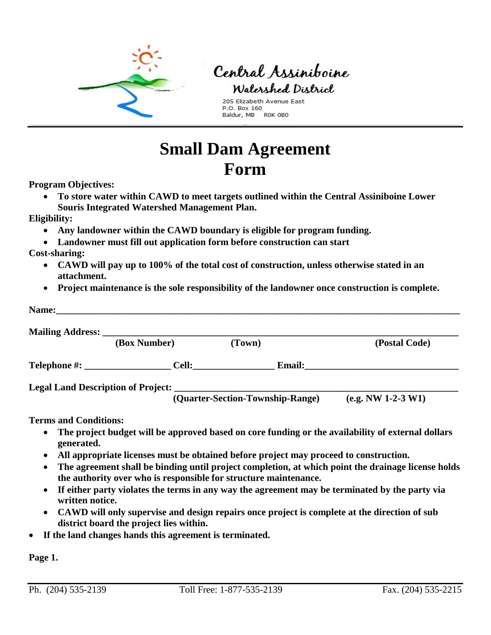

## Central Assiniboine Watershed District

205 Elizabeth Avenue East P.O. Box 160 Baldur, MB ROK 0B0

## **Small Dam Agreement Form**

**Program Objectives:**

• **To store water within CAWD to meet targets outlined within the Central Assiniboine Lower Souris Integrated Watershed Management Plan.** 

## **Eligibility:**

- **Any landowner within the CAWD boundary is eligible for program funding.**
- **Landowner must fill out application form before construction can start**
- **Cost-sharing:** 
	- **CAWD will pay up to 100% of the total cost of construction, unless otherwise stated in an attachment.**
	- **Project maintenance is the sole responsibility of the landowner once construction is complete.**

| (Box Number)       | (Town)                           |               | (Postal Code)        |
|--------------------|----------------------------------|---------------|----------------------|
| Telephone #: Cell: |                                  | <b>Email:</b> |                      |
|                    |                                  |               |                      |
|                    | (Quarter-Section-Township-Range) |               | $(e.g. NW 1-2-3 W1)$ |

- **The project budget will be approved based on core funding or the availability of external dollars generated.**
- **All appropriate licenses must be obtained before project may proceed to construction.**
- **The agreement shall be binding until project completion, at which point the drainage license holds the authority over who is responsible for structure maintenance.**
- **If either party violates the terms in any way the agreement may be terminated by the party via written notice.**
- **CAWD will only supervise and design repairs once project is complete at the direction of sub district board the project lies within.**
- **If the land changes hands this agreement is terminated.**

**Page 1.**